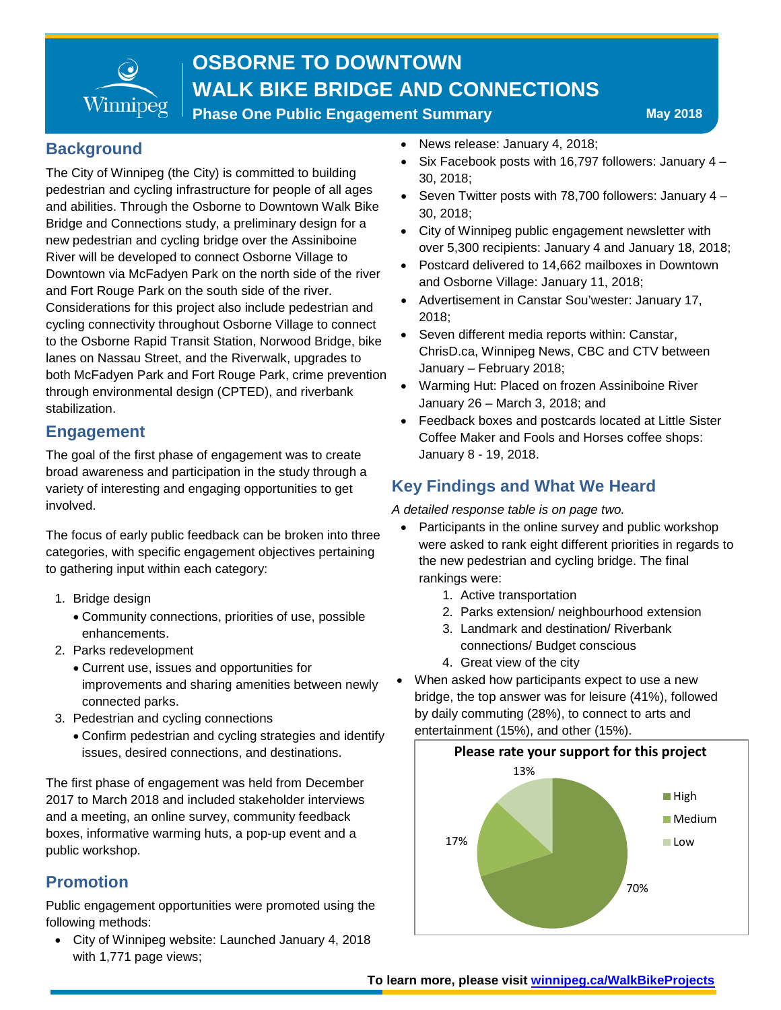

**Phase One Public Engagement Summary May 2018** 

#### **Background**

The City of Winnipeg (the City) is committed to building pedestrian and cycling infrastructure for people of all ages and abilities. Through the Osborne to Downtown Walk Bike Bridge and Connections study, a preliminary design for a new pedestrian and cycling bridge over the Assiniboine River will be developed to connect Osborne Village to Downtown via McFadyen Park on the north side of the river and Fort Rouge Park on the south side of the river. Considerations for this project also include pedestrian and cycling connectivity throughout Osborne Village to connect to the Osborne Rapid Transit Station, Norwood Bridge, bike lanes on Nassau Street, and the Riverwalk, upgrades to both McFadyen Park and Fort Rouge Park, crime prevention through environmental design (CPTED), and riverbank stabilization.

### **Engagement**

The goal of the first phase of engagement was to create broad awareness and participation in the study through a variety of interesting and engaging opportunities to get involved.

The focus of early public feedback can be broken into three categories, with specific engagement objectives pertaining to gathering input within each category:

- 1. Bridge design
	- Community connections, priorities of use, possible enhancements.
- 2. Parks redevelopment
	- Current use, issues and opportunities for improvements and sharing amenities between newly connected parks.
- 3. Pedestrian and cycling connections
	- Confirm pedestrian and cycling strategies and identify issues, desired connections, and destinations.

The first phase of engagement was held from December 2017 to March 2018 and included stakeholder interviews and a meeting, an online survey, community feedback boxes, informative warming huts, a pop-up event and a public workshop.

### **Promotion**

Public engagement opportunities were promoted using the following methods:

• City of Winnipeg website: Launched January 4, 2018 with 1,771 page views;

- News release: January 4, 2018;
- Six Facebook posts with 16,797 followers: January 4 30, 2018;
- Seven Twitter posts with 78,700 followers: January 4 30, 2018;
- City of Winnipeg public engagement newsletter with over 5,300 recipients: January 4 and January 18, 2018;
- Postcard delivered to 14,662 mailboxes in Downtown and Osborne Village: January 11, 2018;
- Advertisement in Canstar Sou'wester: January 17, 2018;
- Seven different media reports within: Canstar, ChrisD.ca, Winnipeg News, CBC and CTV between January – February 2018;
- Warming Hut: Placed on frozen Assiniboine River January 26 – March 3, 2018; and
- Feedback boxes and postcards located at Little Sister Coffee Maker and Fools and Horses coffee shops: January 8 - 19, 2018.

### **Key Findings and What We Heard**

*A detailed response table is on page two.* 

- Participants in the online survey and public workshop were asked to rank eight different priorities in regards to the new pedestrian and cycling bridge. The final rankings were:
	- 1. Active transportation
	- 2. Parks extension/ neighbourhood extension
	- 3. Landmark and destination/ Riverbank connections/ Budget conscious
	- 4. Great view of the city
- When asked how participants expect to use a new bridge, the top answer was for leisure (41%), followed by daily commuting (28%), to connect to arts and entertainment (15%), and other (15%).

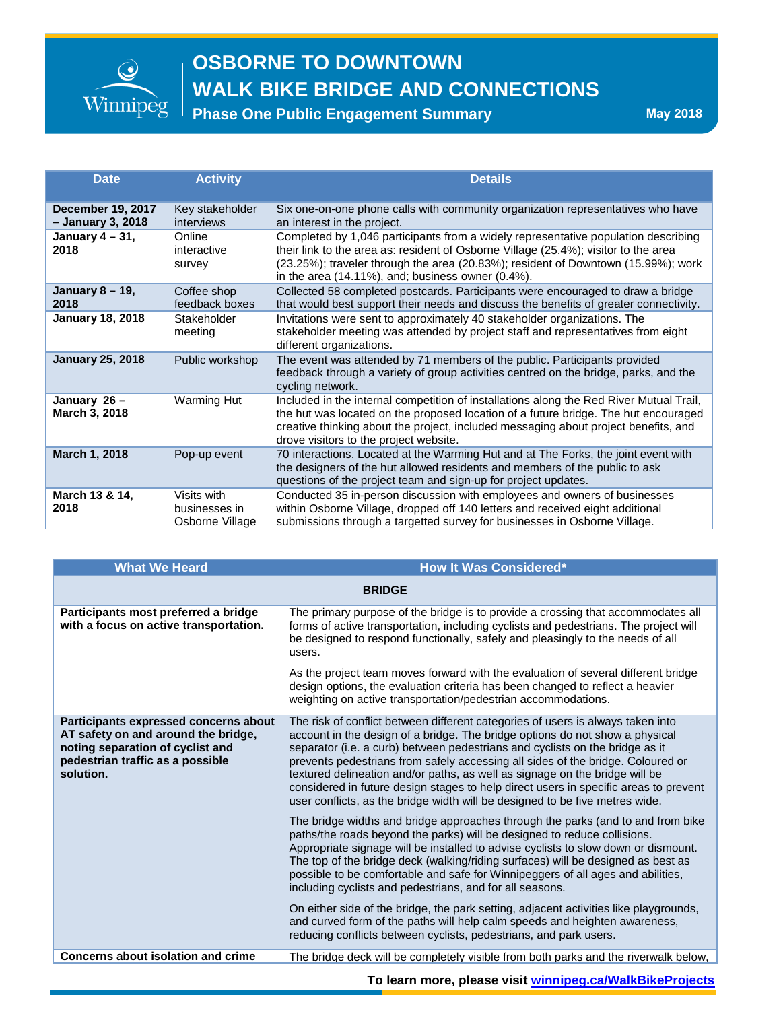

**Phase One Public Engagement Summary May 2018** 

| <b>Date</b>                                   | <b>Activity</b>                                 | <b>Details</b>                                                                                                                                                                                                                                                                                                              |
|-----------------------------------------------|-------------------------------------------------|-----------------------------------------------------------------------------------------------------------------------------------------------------------------------------------------------------------------------------------------------------------------------------------------------------------------------------|
| <b>December 19, 2017</b><br>- January 3, 2018 | Key stakeholder<br>interviews                   | Six one-on-one phone calls with community organization representatives who have<br>an interest in the project.                                                                                                                                                                                                              |
| January $4 - 31$ ,<br>2018                    | Online<br>interactive<br>survey                 | Completed by 1,046 participants from a widely representative population describing<br>their link to the area as: resident of Osborne Village (25.4%); visitor to the area<br>(23.25%); traveler through the area (20.83%); resident of Downtown (15.99%); work<br>in the area $(14.11\%)$ , and; business owner $(0.4\%)$ . |
| January 8 - 19,<br>2018                       | Coffee shop<br>feedback boxes                   | Collected 58 completed postcards. Participants were encouraged to draw a bridge<br>that would best support their needs and discuss the benefits of greater connectivity.                                                                                                                                                    |
| <b>January 18, 2018</b>                       | Stakeholder<br>meeting                          | Invitations were sent to approximately 40 stakeholder organizations. The<br>stakeholder meeting was attended by project staff and representatives from eight<br>different organizations.                                                                                                                                    |
| <b>January 25, 2018</b>                       | Public workshop                                 | The event was attended by 71 members of the public. Participants provided<br>feedback through a variety of group activities centred on the bridge, parks, and the<br>cycling network.                                                                                                                                       |
| January 26 -<br>March 3, 2018                 | <b>Warming Hut</b>                              | Included in the internal competition of installations along the Red River Mutual Trail,<br>the hut was located on the proposed location of a future bridge. The hut encouraged<br>creative thinking about the project, included messaging about project benefits, and<br>drove visitors to the project website.             |
| March 1, 2018                                 | Pop-up event                                    | 70 interactions. Located at the Warming Hut and at The Forks, the joint event with<br>the designers of the hut allowed residents and members of the public to ask<br>questions of the project team and sign-up for project updates.                                                                                         |
| March 13 & 14,<br>2018                        | Visits with<br>businesses in<br>Osborne Village | Conducted 35 in-person discussion with employees and owners of businesses<br>within Osborne Village, dropped off 140 letters and received eight additional<br>submissions through a targetted survey for businesses in Osborne Village.                                                                                     |

| <b>What We Heard</b>                                                                                                                                              | <b>How It Was Considered*</b>                                                                                                                                                                                                                                                                                                                                                                                                                                                                                                                                                             |  |
|-------------------------------------------------------------------------------------------------------------------------------------------------------------------|-------------------------------------------------------------------------------------------------------------------------------------------------------------------------------------------------------------------------------------------------------------------------------------------------------------------------------------------------------------------------------------------------------------------------------------------------------------------------------------------------------------------------------------------------------------------------------------------|--|
| <b>BRIDGE</b>                                                                                                                                                     |                                                                                                                                                                                                                                                                                                                                                                                                                                                                                                                                                                                           |  |
| Participants most preferred a bridge<br>with a focus on active transportation.                                                                                    | The primary purpose of the bridge is to provide a crossing that accommodates all<br>forms of active transportation, including cyclists and pedestrians. The project will<br>be designed to respond functionally, safely and pleasingly to the needs of all<br>users.                                                                                                                                                                                                                                                                                                                      |  |
|                                                                                                                                                                   | As the project team moves forward with the evaluation of several different bridge<br>design options, the evaluation criteria has been changed to reflect a heavier<br>weighting on active transportation/pedestrian accommodations.                                                                                                                                                                                                                                                                                                                                                       |  |
| Participants expressed concerns about<br>AT safety on and around the bridge,<br>noting separation of cyclist and<br>pedestrian traffic as a possible<br>solution. | The risk of conflict between different categories of users is always taken into<br>account in the design of a bridge. The bridge options do not show a physical<br>separator (i.e. a curb) between pedestrians and cyclists on the bridge as it<br>prevents pedestrians from safely accessing all sides of the bridge. Coloured or<br>textured delineation and/or paths, as well as signage on the bridge will be<br>considered in future design stages to help direct users in specific areas to prevent<br>user conflicts, as the bridge width will be designed to be five metres wide. |  |
|                                                                                                                                                                   | The bridge widths and bridge approaches through the parks (and to and from bike<br>paths/the roads beyond the parks) will be designed to reduce collisions.<br>Appropriate signage will be installed to advise cyclists to slow down or dismount.<br>The top of the bridge deck (walking/riding surfaces) will be designed as best as<br>possible to be comfortable and safe for Winnipeggers of all ages and abilities,<br>including cyclists and pedestrians, and for all seasons.                                                                                                      |  |
|                                                                                                                                                                   | On either side of the bridge, the park setting, adjacent activities like playgrounds,<br>and curved form of the paths will help calm speeds and heighten awareness,<br>reducing conflicts between cyclists, pedestrians, and park users.                                                                                                                                                                                                                                                                                                                                                  |  |
| Concerns about isolation and crime                                                                                                                                | The bridge deck will be completely visible from both parks and the riverwalk below,                                                                                                                                                                                                                                                                                                                                                                                                                                                                                                       |  |

**To learn more, please visit [winnipeg.ca/WalkBikeProjects](http://winnipeg.ca/PublicWorks/pedestriansCycling/walkBikeProjects/default.stm)**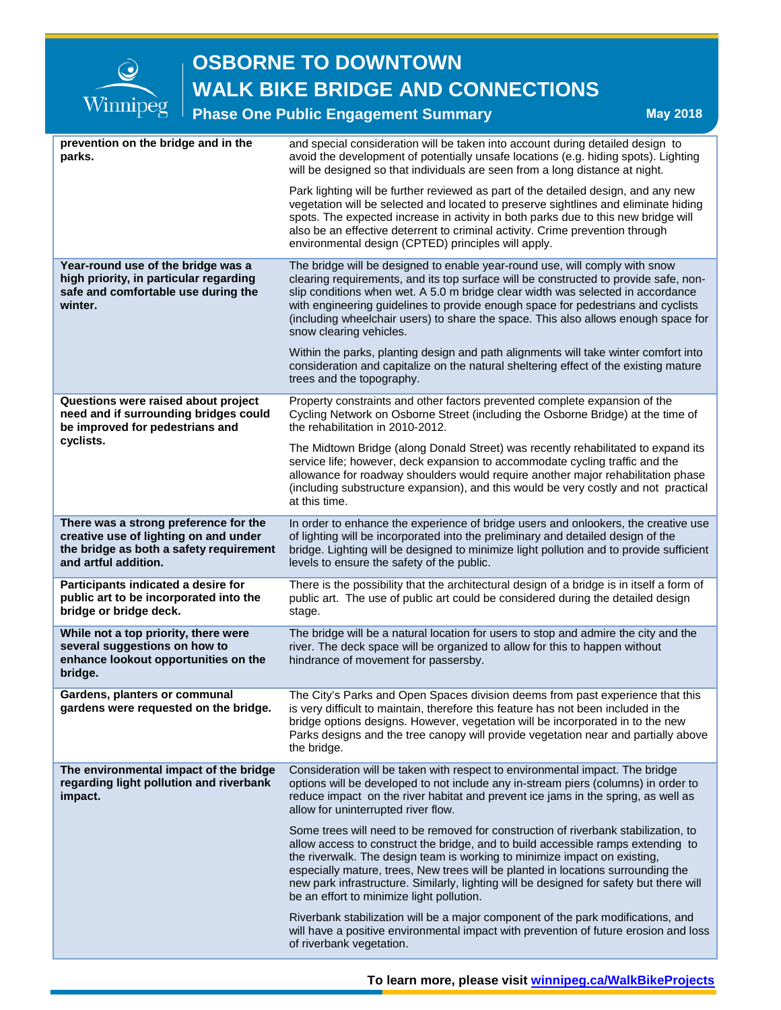

### **Phase One Public Engagement Summary May 2018** May 2018

| prevention on the bridge and in the<br>parks.                                                                                                     |  | and special consideration will be taken into account during detailed design to<br>avoid the development of potentially unsafe locations (e.g. hiding spots). Lighting<br>will be designed so that individuals are seen from a long distance at night.                                                                                                                                                                                                                           |
|---------------------------------------------------------------------------------------------------------------------------------------------------|--|---------------------------------------------------------------------------------------------------------------------------------------------------------------------------------------------------------------------------------------------------------------------------------------------------------------------------------------------------------------------------------------------------------------------------------------------------------------------------------|
|                                                                                                                                                   |  | Park lighting will be further reviewed as part of the detailed design, and any new<br>vegetation will be selected and located to preserve sightlines and eliminate hiding<br>spots. The expected increase in activity in both parks due to this new bridge will<br>also be an effective deterrent to criminal activity. Crime prevention through<br>environmental design (CPTED) principles will apply.                                                                         |
| Year-round use of the bridge was a<br>high priority, in particular regarding<br>safe and comfortable use during the<br>winter.                    |  | The bridge will be designed to enable year-round use, will comply with snow<br>clearing requirements, and its top surface will be constructed to provide safe, non-<br>slip conditions when wet. A 5.0 m bridge clear width was selected in accordance<br>with engineering guidelines to provide enough space for pedestrians and cyclists<br>(including wheelchair users) to share the space. This also allows enough space for<br>snow clearing vehicles.                     |
|                                                                                                                                                   |  | Within the parks, planting design and path alignments will take winter comfort into<br>consideration and capitalize on the natural sheltering effect of the existing mature<br>trees and the topography.                                                                                                                                                                                                                                                                        |
| Questions were raised about project<br>need and if surrounding bridges could<br>be improved for pedestrians and                                   |  | Property constraints and other factors prevented complete expansion of the<br>Cycling Network on Osborne Street (including the Osborne Bridge) at the time of<br>the rehabilitation in 2010-2012.                                                                                                                                                                                                                                                                               |
| cyclists.                                                                                                                                         |  | The Midtown Bridge (along Donald Street) was recently rehabilitated to expand its<br>service life; however, deck expansion to accommodate cycling traffic and the<br>allowance for roadway shoulders would require another major rehabilitation phase<br>(including substructure expansion), and this would be very costly and not practical<br>at this time.                                                                                                                   |
| There was a strong preference for the<br>creative use of lighting on and under<br>the bridge as both a safety requirement<br>and artful addition. |  | In order to enhance the experience of bridge users and onlookers, the creative use<br>of lighting will be incorporated into the preliminary and detailed design of the<br>bridge. Lighting will be designed to minimize light pollution and to provide sufficient<br>levels to ensure the safety of the public.                                                                                                                                                                 |
| Participants indicated a desire for<br>public art to be incorporated into the<br>bridge or bridge deck.                                           |  | There is the possibility that the architectural design of a bridge is in itself a form of<br>public art. The use of public art could be considered during the detailed design<br>stage.                                                                                                                                                                                                                                                                                         |
| While not a top priority, there were<br>several suggestions on how to<br>enhance lookout opportunities on the<br>bridge.                          |  | The bridge will be a natural location for users to stop and admire the city and the<br>river. The deck space will be organized to allow for this to happen without<br>hindrance of movement for passersby.                                                                                                                                                                                                                                                                      |
| Gardens, planters or communal<br>gardens were requested on the bridge.                                                                            |  | The City's Parks and Open Spaces division deems from past experience that this<br>is very difficult to maintain, therefore this feature has not been included in the<br>bridge options designs. However, vegetation will be incorporated in to the new<br>Parks designs and the tree canopy will provide vegetation near and partially above<br>the bridge.                                                                                                                     |
| The environmental impact of the bridge<br>regarding light pollution and riverbank<br>impact.                                                      |  | Consideration will be taken with respect to environmental impact. The bridge<br>options will be developed to not include any in-stream piers (columns) in order to<br>reduce impact on the river habitat and prevent ice jams in the spring, as well as<br>allow for uninterrupted river flow.                                                                                                                                                                                  |
|                                                                                                                                                   |  | Some trees will need to be removed for construction of riverbank stabilization, to<br>allow access to construct the bridge, and to build accessible ramps extending to<br>the riverwalk. The design team is working to minimize impact on existing,<br>especially mature, trees, New trees will be planted in locations surrounding the<br>new park infrastructure. Similarly, lighting will be designed for safety but there will<br>be an effort to minimize light pollution. |
|                                                                                                                                                   |  | Riverbank stabilization will be a major component of the park modifications, and<br>will have a positive environmental impact with prevention of future erosion and loss<br>of riverbank vegetation.                                                                                                                                                                                                                                                                            |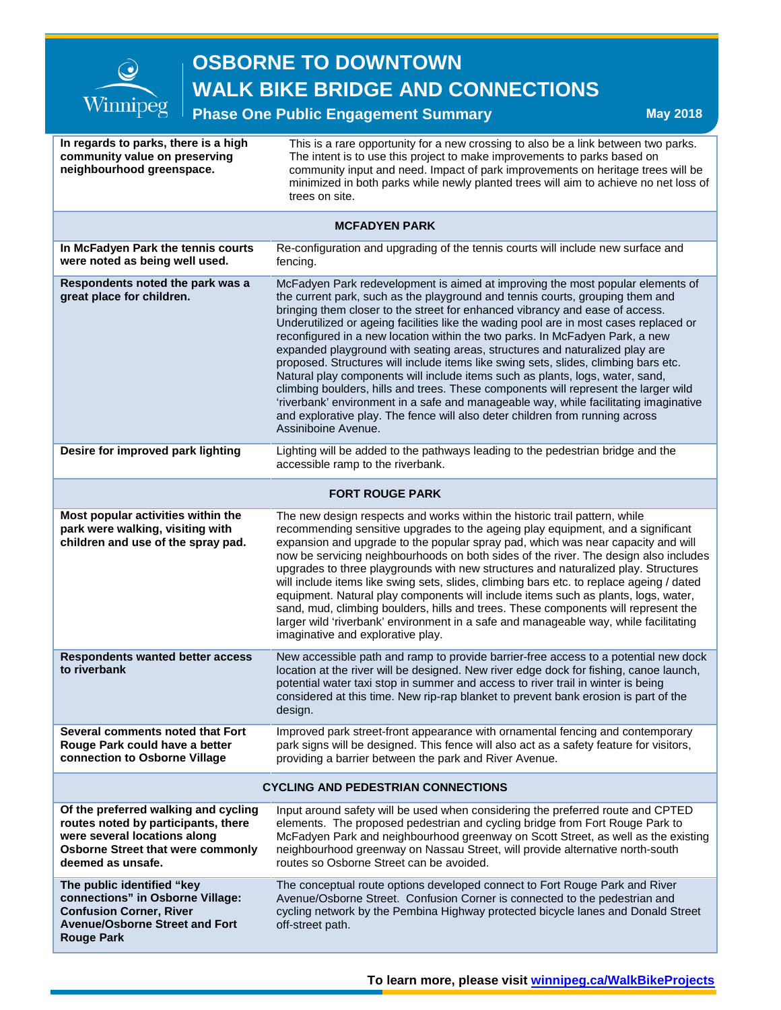

#### **Phase One Public Engagement Summary May 2018**

| In regards to parks, there is a high<br>community value on preserving<br>neighbourhood greenspace.                                                                           | This is a rare opportunity for a new crossing to also be a link between two parks.<br>The intent is to use this project to make improvements to parks based on<br>community input and need. Impact of park improvements on heritage trees will be<br>minimized in both parks while newly planted trees will aim to achieve no net loss of<br>trees on site.                                                                                                                                                                                                                                                                                                                                                                                                                                                                                                                                                                                                           |  |  |  |
|------------------------------------------------------------------------------------------------------------------------------------------------------------------------------|-----------------------------------------------------------------------------------------------------------------------------------------------------------------------------------------------------------------------------------------------------------------------------------------------------------------------------------------------------------------------------------------------------------------------------------------------------------------------------------------------------------------------------------------------------------------------------------------------------------------------------------------------------------------------------------------------------------------------------------------------------------------------------------------------------------------------------------------------------------------------------------------------------------------------------------------------------------------------|--|--|--|
| <b>MCFADYEN PARK</b>                                                                                                                                                         |                                                                                                                                                                                                                                                                                                                                                                                                                                                                                                                                                                                                                                                                                                                                                                                                                                                                                                                                                                       |  |  |  |
| In McFadyen Park the tennis courts<br>were noted as being well used.                                                                                                         | Re-configuration and upgrading of the tennis courts will include new surface and<br>fencing.                                                                                                                                                                                                                                                                                                                                                                                                                                                                                                                                                                                                                                                                                                                                                                                                                                                                          |  |  |  |
| Respondents noted the park was a<br>great place for children.                                                                                                                | McFadyen Park redevelopment is aimed at improving the most popular elements of<br>the current park, such as the playground and tennis courts, grouping them and<br>bringing them closer to the street for enhanced vibrancy and ease of access.<br>Underutilized or ageing facilities like the wading pool are in most cases replaced or<br>reconfigured in a new location within the two parks. In McFadyen Park, a new<br>expanded playground with seating areas, structures and naturalized play are<br>proposed. Structures will include items like swing sets, slides, climbing bars etc.<br>Natural play components will include items such as plants, logs, water, sand,<br>climbing boulders, hills and trees. These components will represent the larger wild<br>'riverbank' environment in a safe and manageable way, while facilitating imaginative<br>and explorative play. The fence will also deter children from running across<br>Assiniboine Avenue. |  |  |  |
| Desire for improved park lighting                                                                                                                                            | Lighting will be added to the pathways leading to the pedestrian bridge and the<br>accessible ramp to the riverbank.                                                                                                                                                                                                                                                                                                                                                                                                                                                                                                                                                                                                                                                                                                                                                                                                                                                  |  |  |  |
| <b>FORT ROUGE PARK</b>                                                                                                                                                       |                                                                                                                                                                                                                                                                                                                                                                                                                                                                                                                                                                                                                                                                                                                                                                                                                                                                                                                                                                       |  |  |  |
| Most popular activities within the<br>park were walking, visiting with<br>children and use of the spray pad.                                                                 | The new design respects and works within the historic trail pattern, while<br>recommending sensitive upgrades to the ageing play equipment, and a significant<br>expansion and upgrade to the popular spray pad, which was near capacity and will<br>now be servicing neighbourhoods on both sides of the river. The design also includes<br>upgrades to three playgrounds with new structures and naturalized play. Structures<br>will include items like swing sets, slides, climbing bars etc. to replace ageing / dated<br>equipment. Natural play components will include items such as plants, logs, water,<br>sand, mud, climbing boulders, hills and trees. These components will represent the<br>larger wild 'riverbank' environment in a safe and manageable way, while facilitating<br>imaginative and explorative play.                                                                                                                                  |  |  |  |
| <b>Respondents wanted better access</b><br>to riverbank                                                                                                                      | New accessible path and ramp to provide barrier-free access to a potential new dock<br>location at the river will be designed. New river edge dock for fishing, canoe launch,<br>potential water taxi stop in summer and access to river trail in winter is being<br>considered at this time. New rip-rap blanket to prevent bank erosion is part of the<br>design.                                                                                                                                                                                                                                                                                                                                                                                                                                                                                                                                                                                                   |  |  |  |
| Several comments noted that Fort<br>Rouge Park could have a better<br>connection to Osborne Village                                                                          | Improved park street-front appearance with ornamental fencing and contemporary<br>park signs will be designed. This fence will also act as a safety feature for visitors,<br>providing a barrier between the park and River Avenue.                                                                                                                                                                                                                                                                                                                                                                                                                                                                                                                                                                                                                                                                                                                                   |  |  |  |
| <b>CYCLING AND PEDESTRIAN CONNECTIONS</b>                                                                                                                                    |                                                                                                                                                                                                                                                                                                                                                                                                                                                                                                                                                                                                                                                                                                                                                                                                                                                                                                                                                                       |  |  |  |
| Of the preferred walking and cycling<br>routes noted by participants, there<br>were several locations along<br><b>Osborne Street that were commonly</b><br>deemed as unsafe. | Input around safety will be used when considering the preferred route and CPTED<br>elements. The proposed pedestrian and cycling bridge from Fort Rouge Park to<br>McFadyen Park and neighbourhood greenway on Scott Street, as well as the existing<br>neighbourhood greenway on Nassau Street, will provide alternative north-south<br>routes so Osborne Street can be avoided.                                                                                                                                                                                                                                                                                                                                                                                                                                                                                                                                                                                     |  |  |  |
| The public identified "key<br>connections" in Osborne Village:<br><b>Confusion Corner, River</b><br><b>Avenue/Osborne Street and Fort</b><br><b>Rouge Park</b>               | The conceptual route options developed connect to Fort Rouge Park and River<br>Avenue/Osborne Street. Confusion Corner is connected to the pedestrian and<br>cycling network by the Pembina Highway protected bicycle lanes and Donald Street<br>off-street path.                                                                                                                                                                                                                                                                                                                                                                                                                                                                                                                                                                                                                                                                                                     |  |  |  |